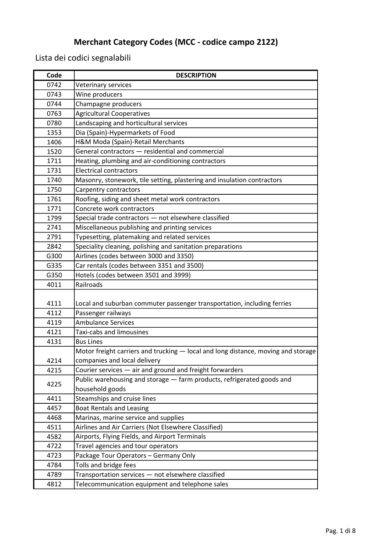| Code | <b>DESCRIPTION</b>                                                                |
|------|-----------------------------------------------------------------------------------|
| 0742 | Veterinary services                                                               |
| 0743 | Wine producers                                                                    |
| 0744 | Champagne producers                                                               |
| 0763 | <b>Agricultural Cooperatives</b>                                                  |
| 0780 | Landscaping and horticultural services                                            |
| 1353 | Dia (Spain)-Hypermarkets of Food                                                  |
| 1406 | H&M Moda (Spain)-Retail Merchants                                                 |
| 1520 | General contractors - residential and commercial                                  |
| 1711 | Heating, plumbing and air-conditioning contractors                                |
| 1731 | <b>Electrical contractors</b>                                                     |
| 1740 | Masonry, stonework, tile setting, plastering and insulation contractors           |
| 1750 | Carpentry contractors                                                             |
| 1761 | Roofing, siding and sheet metal work contractors                                  |
| 1771 | Concrete work contractors                                                         |
| 1799 | Special trade contractors - not elsewhere classified                              |
| 2741 | Miscellaneous publishing and printing services                                    |
| 2791 | Typesetting, platemaking and related services                                     |
| 2842 | Speciality cleaning, polishing and sanitation preparations                        |
| G300 | Airlines (codes between 3000 and 3350)                                            |
| G335 | Car rentals (codes between 3351 and 3500)                                         |
| G350 | Hotels (codes between 3501 and 3999)                                              |
| 4011 | Railroads                                                                         |
|      |                                                                                   |
| 4111 | Local and suburban commuter passenger transportation, including ferries           |
| 4112 | Passenger railways                                                                |
| 4119 | <b>Ambulance Services</b>                                                         |
| 4121 | Taxi-cabs and limousines                                                          |
| 4131 | <b>Bus Lines</b>                                                                  |
|      | Motor freight carriers and trucking - local and long distance, moving and storage |
| 4214 | companies and local delivery                                                      |
| 4215 | Courier services - air and ground and freight forwarders                          |
| 4225 | Public warehousing and storage - farm products, refrigerated goods and            |
|      | household goods                                                                   |
| 4411 | Steamships and cruise lines                                                       |
| 4457 | <b>Boat Rentals and Leasing</b>                                                   |
| 4468 | Marinas, marine service and supplies                                              |
| 4511 | Airlines and Air Carriers (Not Elsewhere Classified)                              |
| 4582 | Airports, Flying Fields, and Airport Terminals                                    |
| 4722 | Travel agencies and tour operators                                                |
| 4723 | Package Tour Operators - Germany Only                                             |
| 4784 | Tolls and bridge fees                                                             |
| 4789 | Transportation services - not elsewhere classified                                |
| 4812 | Telecommunication equipment and telephone sales                                   |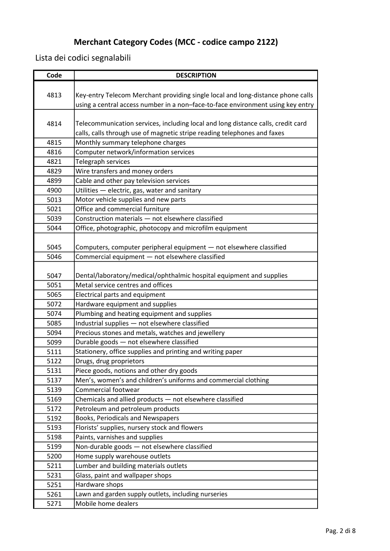| Code | <b>DESCRIPTION</b>                                                               |
|------|----------------------------------------------------------------------------------|
|      |                                                                                  |
| 4813 | Key-entry Telecom Merchant providing single local and long-distance phone calls  |
|      | using a central access number in a non-face-to-face environment using key entry  |
|      |                                                                                  |
| 4814 | Telecommunication services, including local and long distance calls, credit card |
|      | calls, calls through use of magnetic stripe reading telephones and faxes         |
| 4815 | Monthly summary telephone charges                                                |
| 4816 | Computer network/information services                                            |
| 4821 | Telegraph services                                                               |
| 4829 | Wire transfers and money orders                                                  |
| 4899 | Cable and other pay television services                                          |
| 4900 | Utilities - electric, gas, water and sanitary                                    |
| 5013 | Motor vehicle supplies and new parts                                             |
| 5021 | Office and commercial furniture                                                  |
| 5039 | Construction materials - not elsewhere classified                                |
| 5044 | Office, photographic, photocopy and microfilm equipment                          |
|      |                                                                                  |
| 5045 | Computers, computer peripheral equipment - not elsewhere classified              |
| 5046 | Commercial equipment - not elsewhere classified                                  |
|      |                                                                                  |
| 5047 | Dental/laboratory/medical/ophthalmic hospital equipment and supplies             |
| 5051 | Metal service centres and offices                                                |
| 5065 | Electrical parts and equipment                                                   |
| 5072 | Hardware equipment and supplies                                                  |
| 5074 | Plumbing and heating equipment and supplies                                      |
| 5085 | Industrial supplies - not elsewhere classified                                   |
| 5094 | Precious stones and metals, watches and jewellery                                |
| 5099 | Durable goods - not elsewhere classified                                         |
| 5111 | Stationery, office supplies and printing and writing paper                       |
| 5122 | Drugs, drug proprietors                                                          |
| 5131 | Piece goods, notions and other dry goods                                         |
| 5137 | Men's, women's and children's uniforms and commercial clothing                   |
| 5139 | Commercial footwear                                                              |
| 5169 | Chemicals and allied products - not elsewhere classified                         |
| 5172 | Petroleum and petroleum products                                                 |
| 5192 | Books, Periodicals and Newspapers                                                |
| 5193 | Florists' supplies, nursery stock and flowers                                    |
| 5198 | Paints, varnishes and supplies                                                   |
| 5199 | Non-durable goods - not elsewhere classified                                     |
| 5200 | Home supply warehouse outlets                                                    |
| 5211 | Lumber and building materials outlets                                            |
| 5231 | Glass, paint and wallpaper shops                                                 |
| 5251 | Hardware shops                                                                   |
| 5261 | Lawn and garden supply outlets, including nurseries                              |
| 5271 | Mobile home dealers                                                              |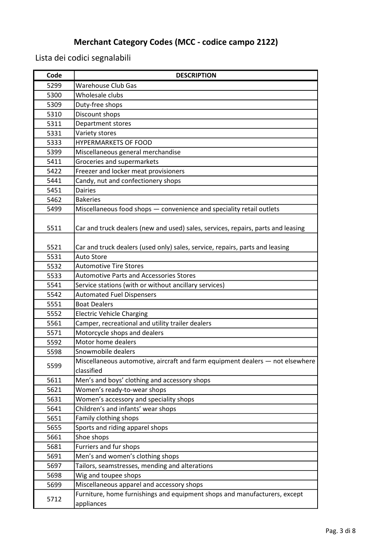| Code | <b>DESCRIPTION</b>                                                               |
|------|----------------------------------------------------------------------------------|
| 5299 | <b>Warehouse Club Gas</b>                                                        |
| 5300 | Wholesale clubs                                                                  |
| 5309 | Duty-free shops                                                                  |
| 5310 | Discount shops                                                                   |
| 5311 | Department stores                                                                |
| 5331 | Variety stores                                                                   |
| 5333 | <b>HYPERMARKETS OF FOOD</b>                                                      |
| 5399 | Miscellaneous general merchandise                                                |
| 5411 | Groceries and supermarkets                                                       |
| 5422 | Freezer and locker meat provisioners                                             |
| 5441 | Candy, nut and confectionery shops                                               |
| 5451 | <b>Dairies</b>                                                                   |
| 5462 | <b>Bakeries</b>                                                                  |
| 5499 | Miscellaneous food shops - convenience and speciality retail outlets             |
|      |                                                                                  |
| 5511 | Car and truck dealers (new and used) sales, services, repairs, parts and leasing |
|      |                                                                                  |
| 5521 | Car and truck dealers (used only) sales, service, repairs, parts and leasing     |
| 5531 | <b>Auto Store</b>                                                                |
| 5532 | <b>Automotive Tire Stores</b>                                                    |
| 5533 | <b>Automotive Parts and Accessories Stores</b>                                   |
| 5541 | Service stations (with or without ancillary services)                            |
| 5542 | <b>Automated Fuel Dispensers</b>                                                 |
| 5551 | <b>Boat Dealers</b>                                                              |
| 5552 | <b>Electric Vehicle Charging</b>                                                 |
| 5561 | Camper, recreational and utility trailer dealers                                 |
| 5571 | Motorcycle shops and dealers                                                     |
| 5592 | Motor home dealers                                                               |
| 5598 | Snowmobile dealers                                                               |
| 5599 | Miscellaneous automotive, aircraft and farm equipment dealers - not elsewhere    |
|      | classified                                                                       |
| 5611 | Men's and boys' clothing and accessory shops                                     |
| 5621 | Women's ready-to-wear shops                                                      |
| 5631 | Women's accessory and speciality shops                                           |
| 5641 | Children's and infants' wear shops                                               |
| 5651 | Family clothing shops                                                            |
| 5655 | Sports and riding apparel shops                                                  |
| 5661 | Shoe shops                                                                       |
| 5681 | Furriers and fur shops                                                           |
| 5691 | Men's and women's clothing shops                                                 |
| 5697 | Tailors, seamstresses, mending and alterations                                   |
| 5698 | Wig and toupee shops                                                             |
| 5699 | Miscellaneous apparel and accessory shops                                        |
| 5712 | Furniture, home furnishings and equipment shops and manufacturers, except        |
|      | appliances                                                                       |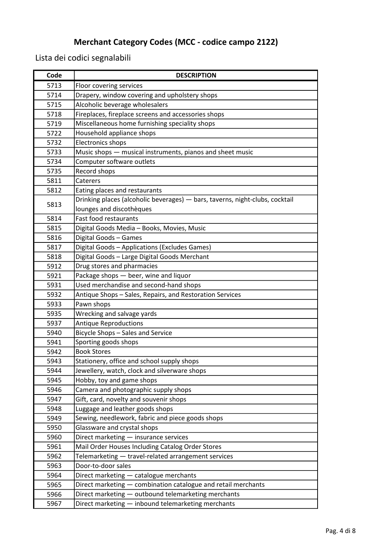| Code | <b>DESCRIPTION</b>                                                           |
|------|------------------------------------------------------------------------------|
| 5713 | Floor covering services                                                      |
| 5714 | Drapery, window covering and upholstery shops                                |
| 5715 | Alcoholic beverage wholesalers                                               |
| 5718 | Fireplaces, fireplace screens and accessories shops                          |
| 5719 | Miscellaneous home furnishing speciality shops                               |
| 5722 | Household appliance shops                                                    |
| 5732 | <b>Electronics shops</b>                                                     |
| 5733 | Music shops - musical instruments, pianos and sheet music                    |
| 5734 | Computer software outlets                                                    |
| 5735 | Record shops                                                                 |
| 5811 | Caterers                                                                     |
| 5812 | Eating places and restaurants                                                |
| 5813 | Drinking places (alcoholic beverages) - bars, taverns, night-clubs, cocktail |
|      | lounges and discothèques                                                     |
| 5814 | <b>Fast food restaurants</b>                                                 |
| 5815 | Digital Goods Media - Books, Movies, Music                                   |
| 5816 | Digital Goods - Games                                                        |
| 5817 | Digital Goods - Applications (Excludes Games)                                |
| 5818 | Digital Goods - Large Digital Goods Merchant                                 |
| 5912 | Drug stores and pharmacies                                                   |
| 5921 | Package shops - beer, wine and liquor                                        |
| 5931 | Used merchandise and second-hand shops                                       |
| 5932 | Antique Shops - Sales, Repairs, and Restoration Services                     |
| 5933 | Pawn shops                                                                   |
| 5935 | Wrecking and salvage yards                                                   |
| 5937 | <b>Antique Reproductions</b>                                                 |
| 5940 | Bicycle Shops - Sales and Service                                            |
| 5941 | Sporting goods shops                                                         |
| 5942 | <b>Book Stores</b>                                                           |
| 5943 | Stationery, office and school supply shops                                   |
| 5944 | Jewellery, watch, clock and silverware shops                                 |
| 5945 | Hobby, toy and game shops                                                    |
| 5946 | Camera and photographic supply shops                                         |
| 5947 | Gift, card, novelty and souvenir shops                                       |
| 5948 | Luggage and leather goods shops                                              |
| 5949 | Sewing, needlework, fabric and piece goods shops                             |
| 5950 | Glassware and crystal shops                                                  |
| 5960 | Direct marketing - insurance services                                        |
| 5961 | Mail Order Houses Including Catalog Order Stores                             |
| 5962 | Telemarketing - travel-related arrangement services                          |
| 5963 | Door-to-door sales                                                           |
| 5964 | Direct marketing - catalogue merchants                                       |
| 5965 | Direct marketing - combination catalogue and retail merchants                |
| 5966 | Direct marketing - outbound telemarketing merchants                          |
| 5967 | Direct marketing - inbound telemarketing merchants                           |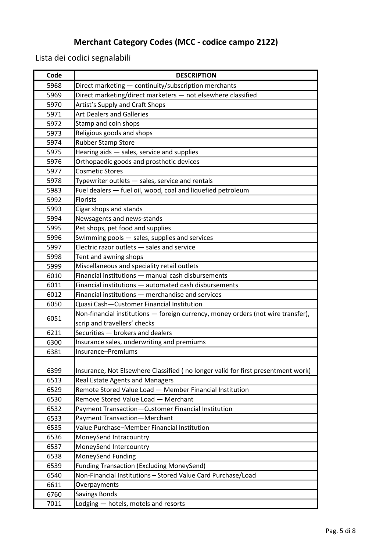| Code | <b>DESCRIPTION</b>                                                               |
|------|----------------------------------------------------------------------------------|
| 5968 | Direct marketing - continuity/subscription merchants                             |
| 5969 | Direct marketing/direct marketers - not elsewhere classified                     |
| 5970 | Artist's Supply and Craft Shops                                                  |
| 5971 | <b>Art Dealers and Galleries</b>                                                 |
| 5972 | Stamp and coin shops                                                             |
| 5973 | Religious goods and shops                                                        |
| 5974 | <b>Rubber Stamp Store</b>                                                        |
| 5975 | Hearing aids - sales, service and supplies                                       |
| 5976 | Orthopaedic goods and prosthetic devices                                         |
| 5977 | <b>Cosmetic Stores</b>                                                           |
| 5978 | Typewriter outlets - sales, service and rentals                                  |
| 5983 | Fuel dealers - fuel oil, wood, coal and liquefied petroleum                      |
| 5992 | <b>Florists</b>                                                                  |
| 5993 | Cigar shops and stands                                                           |
| 5994 | Newsagents and news-stands                                                       |
| 5995 | Pet shops, pet food and supplies                                                 |
| 5996 | Swimming pools - sales, supplies and services                                    |
| 5997 | Electric razor outlets - sales and service                                       |
| 5998 | Tent and awning shops                                                            |
| 5999 | Miscellaneous and speciality retail outlets                                      |
| 6010 | Financial institutions - manual cash disbursements                               |
| 6011 | Financial institutions - automated cash disbursements                            |
| 6012 | Financial institutions - merchandise and services                                |
| 6050 | Quasi Cash-Customer Financial Institution                                        |
| 6051 | Non-financial institutions - foreign currency, money orders (not wire transfer), |
|      | scrip and travellers' checks                                                     |
| 6211 | Securities - brokers and dealers                                                 |
| 6300 | Insurance sales, underwriting and premiums                                       |
| 6381 | Insurance-Premiums                                                               |
|      |                                                                                  |
| 6399 | Insurance, Not Elsewhere Classified (no longer valid for first presentment work) |
| 6513 | Real Estate Agents and Managers                                                  |
| 6529 | Remote Stored Value Load - Member Financial Institution                          |
| 6530 | Remove Stored Value Load - Merchant                                              |
| 6532 | Payment Transaction-Customer Financial Institution                               |
| 6533 | <b>Payment Transaction-Merchant</b>                                              |
| 6535 | Value Purchase-Member Financial Institution                                      |
| 6536 | MoneySend Intracountry                                                           |
| 6537 | MoneySend Intercountry                                                           |
| 6538 | MoneySend Funding                                                                |
| 6539 | <b>Funding Transaction (Excluding MoneySend)</b>                                 |
| 6540 | Non-Financial Institutions - Stored Value Card Purchase/Load                     |
| 6611 | Overpayments                                                                     |
| 6760 | <b>Savings Bonds</b>                                                             |
| 7011 | Lodging - hotels, motels and resorts                                             |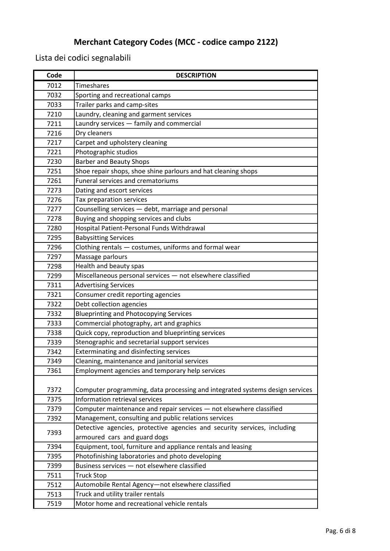| Code | <b>DESCRIPTION</b>                                                           |
|------|------------------------------------------------------------------------------|
| 7012 | Timeshares                                                                   |
| 7032 | Sporting and recreational camps                                              |
| 7033 | Trailer parks and camp-sites                                                 |
| 7210 | Laundry, cleaning and garment services                                       |
| 7211 | Laundry services - family and commercial                                     |
| 7216 | Dry cleaners                                                                 |
| 7217 | Carpet and upholstery cleaning                                               |
| 7221 | Photographic studios                                                         |
| 7230 | <b>Barber and Beauty Shops</b>                                               |
| 7251 | Shoe repair shops, shoe shine parlours and hat cleaning shops                |
| 7261 | Funeral services and crematoriums                                            |
| 7273 | Dating and escort services                                                   |
| 7276 | Tax preparation services                                                     |
| 7277 | Counselling services - debt, marriage and personal                           |
| 7278 | Buying and shopping services and clubs                                       |
| 7280 | Hospital Patient-Personal Funds Withdrawal                                   |
| 7295 | <b>Babysitting Services</b>                                                  |
| 7296 | Clothing rentals - costumes, uniforms and formal wear                        |
| 7297 | Massage parlours                                                             |
| 7298 | Health and beauty spas                                                       |
| 7299 | Miscellaneous personal services - not elsewhere classified                   |
| 7311 | <b>Advertising Services</b>                                                  |
| 7321 | Consumer credit reporting agencies                                           |
| 7322 | Debt collection agencies                                                     |
| 7332 | <b>Blueprinting and Photocopying Services</b>                                |
| 7333 | Commercial photography, art and graphics                                     |
| 7338 | Quick copy, reproduction and blueprinting services                           |
| 7339 | Stenographic and secretarial support services                                |
| 7342 | Exterminating and disinfecting services                                      |
| 7349 | Cleaning, maintenance and janitorial services                                |
| 7361 | Employment agencies and temporary help services                              |
|      |                                                                              |
| 7372 | Computer programming, data processing and integrated systems design services |
| 7375 | Information retrieval services                                               |
| 7379 | Computer maintenance and repair services - not elsewhere classified          |
| 7392 | Management, consulting and public relations services                         |
| 7393 | Detective agencies, protective agencies and security services, including     |
|      | armoured cars and guard dogs                                                 |
| 7394 | Equipment, tool, furniture and appliance rentals and leasing                 |
| 7395 | Photofinishing laboratories and photo developing                             |
| 7399 | Business services - not elsewhere classified                                 |
| 7511 | <b>Truck Stop</b>                                                            |
| 7512 | Automobile Rental Agency-not elsewhere classified                            |
| 7513 | Truck and utility trailer rentals                                            |
| 7519 | Motor home and recreational vehicle rentals                                  |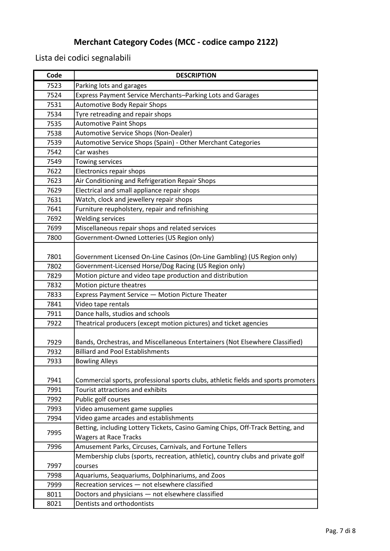| Code | <b>DESCRIPTION</b>                                                                 |
|------|------------------------------------------------------------------------------------|
| 7523 | Parking lots and garages                                                           |
| 7524 | Express Payment Service Merchants-Parking Lots and Garages                         |
| 7531 | <b>Automotive Body Repair Shops</b>                                                |
| 7534 | Tyre retreading and repair shops                                                   |
| 7535 | <b>Automotive Paint Shops</b>                                                      |
| 7538 | Automotive Service Shops (Non-Dealer)                                              |
| 7539 | Automotive Service Shops (Spain) - Other Merchant Categories                       |
| 7542 | Car washes                                                                         |
| 7549 | Towing services                                                                    |
| 7622 | Electronics repair shops                                                           |
| 7623 | Air Conditioning and Refrigeration Repair Shops                                    |
| 7629 | Electrical and small appliance repair shops                                        |
| 7631 | Watch, clock and jewellery repair shops                                            |
| 7641 | Furniture reupholstery, repair and refinishing                                     |
| 7692 | <b>Welding services</b>                                                            |
| 7699 | Miscellaneous repair shops and related services                                    |
| 7800 | Government-Owned Lotteries (US Region only)                                        |
|      |                                                                                    |
| 7801 | Government Licensed On-Line Casinos (On-Line Gambling) (US Region only)            |
| 7802 | Government-Licensed Horse/Dog Racing (US Region only)                              |
| 7829 | Motion picture and video tape production and distribution                          |
| 7832 | Motion picture theatres                                                            |
| 7833 | Express Payment Service - Motion Picture Theater                                   |
| 7841 | Video tape rentals                                                                 |
| 7911 | Dance halls, studios and schools                                                   |
| 7922 | Theatrical producers (except motion pictures) and ticket agencies                  |
| 7929 | Bands, Orchestras, and Miscellaneous Entertainers (Not Elsewhere Classified)       |
| 7932 | <b>Billiard and Pool Establishments</b>                                            |
| 7933 | <b>Bowling Alleys</b>                                                              |
| 7941 | Commercial sports, professional sports clubs, athletic fields and sports promoters |
| 7991 | <b>Tourist attractions and exhibits</b>                                            |
| 7992 | Public golf courses                                                                |
| 7993 | Video amusement game supplies                                                      |
| 7994 | Video game arcades and establishments                                              |
| 7995 | Betting, including Lottery Tickets, Casino Gaming Chips, Off-Track Betting, and    |
|      | <b>Wagers at Race Tracks</b>                                                       |
| 7996 | Amusement Parks, Circuses, Carnivals, and Fortune Tellers                          |
|      | Membership clubs (sports, recreation, athletic), country clubs and private golf    |
| 7997 | courses                                                                            |
| 7998 | Aquariums, Seaquariums, Dolphinariums, and Zoos                                    |
| 7999 | Recreation services - not elsewhere classified                                     |
| 8011 | Doctors and physicians - not elsewhere classified                                  |
| 8021 | Dentists and orthodontists                                                         |